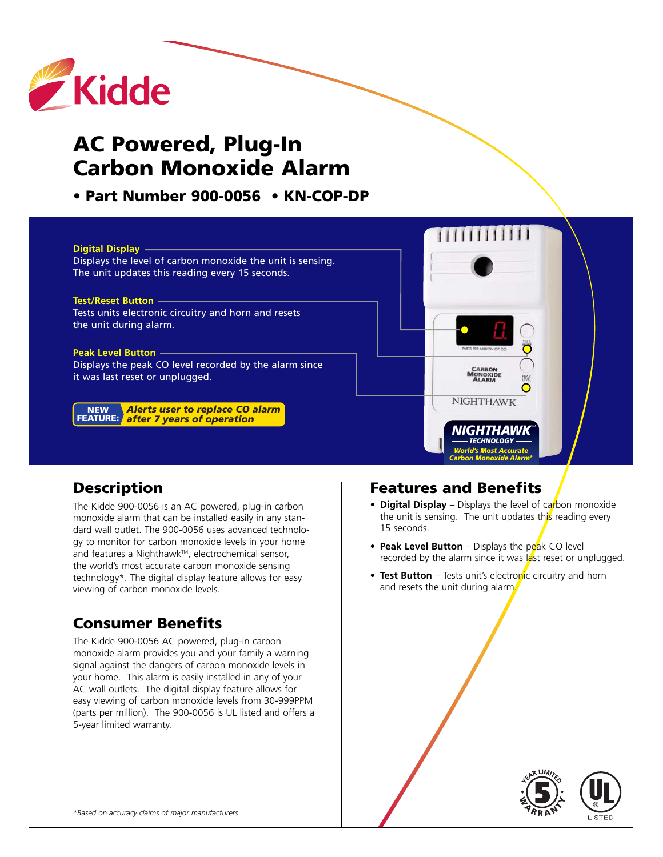

# **AC Powered, Plug-In Carbon Monoxide Alarm**

**• Part Number 900-0056 • KN-COP-DP** 



# **Description**

The Kidde 900-0056 is an AC powered, plug-in carbon monoxide alarm that can be installed easily in any standard wall outlet. The 900-0056 uses advanced technology to monitor for carbon monoxide levels in your home and features a Nighthawk™, electrochemical sensor, the world's most accurate carbon monoxide sensing technology\*. The digital display feature allows for easy viewing of carbon monoxide levels.

# **Consumer Benefits**

The Kidde 900-0056 AC powered, plug-in carbon monoxide alarm provides you and your family a warning signal against the dangers of carbon monoxide levels in your home. This alarm is easily installed in any of your AC wall outlets. The digital display feature allows for easy viewing of carbon monoxide levels from 30-999PPM (parts per million). The 900-0056 is UL listed and offers a 5-year limited warranty.

# **Features and Benefits**

- **Digital Display** Displays the level of carbon monoxide the unit is sensing. The unit updates this reading every 15 seconds.
- **• Peak Level Button** Displays the peak CO level recorded by the alarm since it was  $\frac{1}{4}$ st reset or unplugged.
- Test Button Tests unit's electronic circuitry and horn and resets the unit during alarm.